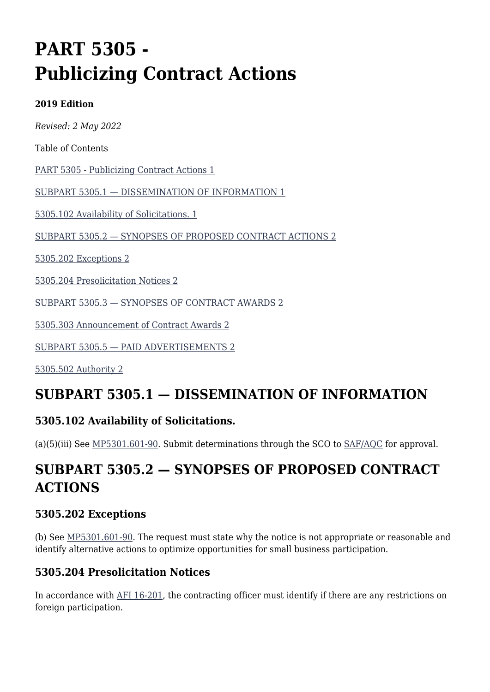# **PART 5305 - Publicizing Contract Actions**

#### **2019 Edition**

*Revised: 2 May 2022*

Table of Contents

[PART 5305 - Publicizing Contract Actions 1](#page--1-0)

[SUBPART 5305.1 — DISSEMINATION OF INFORMATION 1](#page--1-0)

[5305.102 Availability of Solicitations. 1](#page--1-0)

[SUBPART 5305.2 — SYNOPSES OF PROPOSED CONTRACT ACTIONS 2](#page--1-0)

[5305.202 Exceptions 2](#page--1-0)

[5305.204 Presolicitation Notices 2](#page--1-0)

[SUBPART 5305.3 — SYNOPSES OF CONTRACT AWARDS 2](#page--1-0)

[5305.303 Announcement of Contract Awards 2](#page--1-0)

[SUBPART 5305.5 — PAID ADVERTISEMENTS 2](#page--1-0)

[5305.502 Authority 2](#page--1-0)

## **SUBPART 5305.1 — DISSEMINATION OF INFORMATION**

#### **5305.102 Availability of Solicitations.**

(a)(5)(iii) See  $MP5301.601-90$ . Submit determinations through the SCO to  $SAF/AQC$  for approval.

## **SUBPART 5305.2 — SYNOPSES OF PROPOSED CONTRACT ACTIONS**

#### **5305.202 Exceptions**

(b) See [MP5301.601-90](https://origin-www.acquisition.gov/%5Brp:link:affars-mp-AFFARS-MP_PART-mp_5301.601-90%5D). The request must state why the notice is not appropriate or reasonable and identify alternative actions to optimize opportunities for small business participation.

#### **5305.204 Presolicitation Notices**

In accordance with [AFI 16-201,](https://static.e-publishing.af.mil/production/1/saf_ia/publication/afi16-201/afi16-201_rollback.pdf) the contracting officer must identify if there are any restrictions on foreign participation.